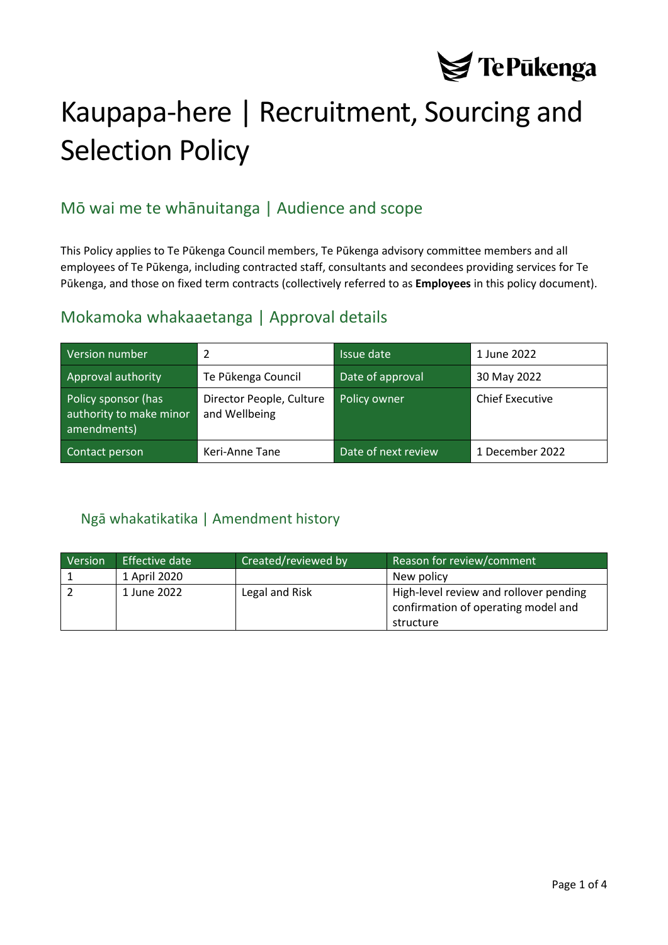

# Kaupapa-here | Recruitment, Sourcing and Selection Policy

# Mō wai me te whānuitanga | Audience and scope

This Policy applies to Te Pūkenga Council members, Te Pūkenga advisory committee members and all employees of Te Pūkenga, including contracted staff, consultants and secondees providing services for Te Pūkenga, and those on fixed term contracts (collectively referred to as **Employees** in this policy document).

### Mokamoka whakaaetanga | Approval details

| Version number                                                | 2                                         | Issue date          | 1 June 2022            |
|---------------------------------------------------------------|-------------------------------------------|---------------------|------------------------|
| Approval authority                                            | Te Pūkenga Council                        | Date of approval    | 30 May 2022            |
| Policy sponsor (has<br>authority to make minor<br>amendments) | Director People, Culture<br>and Wellbeing | Policy owner        | <b>Chief Executive</b> |
| Contact person                                                | Keri-Anne Tane                            | Date of next review | 1 December 2022        |

#### <span id="page-0-0"></span>Ngā whakatikatika | Amendment history

| Version | Effective date | Created/reviewed by | Reason for review/comment                                                     |
|---------|----------------|---------------------|-------------------------------------------------------------------------------|
|         | 1 April 2020   |                     | New policy                                                                    |
|         | 1 June 2022    | Legal and Risk      | High-level review and rollover pending<br>confirmation of operating model and |
|         |                |                     | structure                                                                     |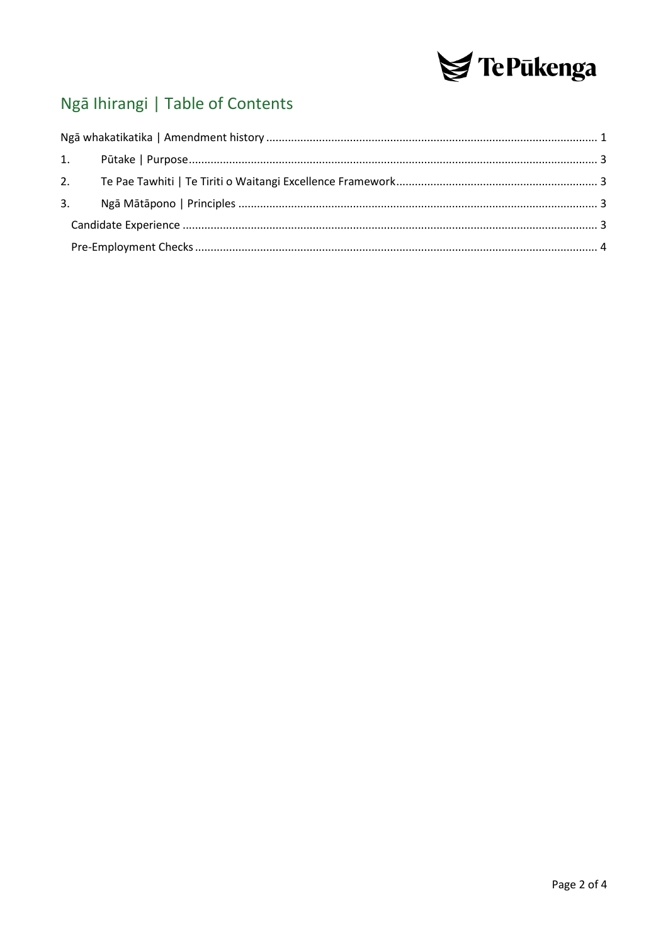

# Ngā Ihirangi | Table of Contents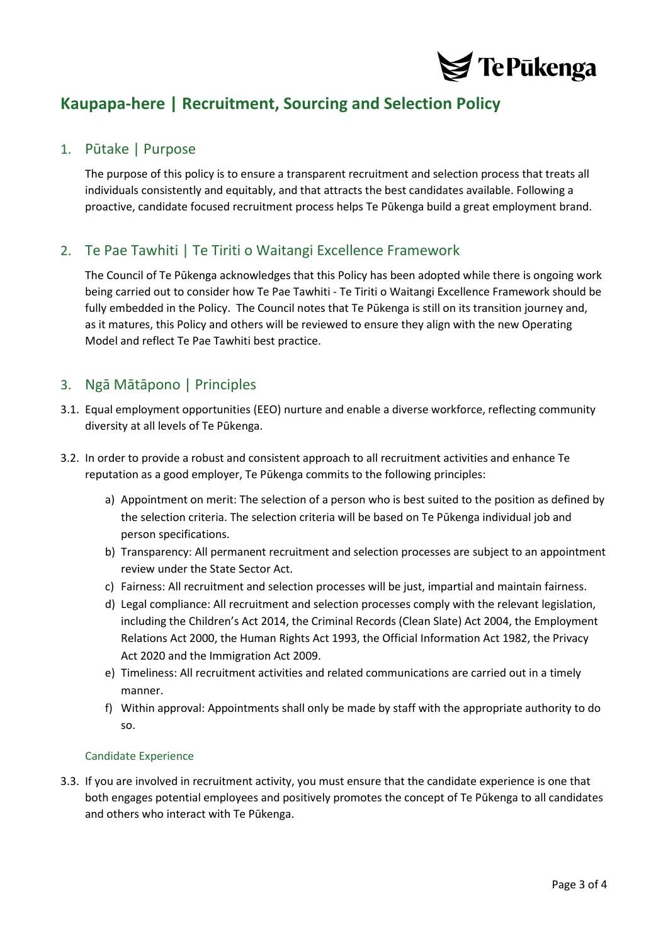

## **Kaupapa-here | Recruitment, Sourcing and Selection Policy**

#### <span id="page-2-0"></span>1. Pūtake | Purpose

The purpose of this policy is to ensure a transparent recruitment and selection process that treats all individuals consistently and equitably, and that attracts the best candidates available. Following a proactive, candidate focused recruitment process helps Te Pūkenga build a great employment brand.

#### <span id="page-2-1"></span>2. Te Pae Tawhiti | Te Tiriti o Waitangi Excellence Framework

The Council of Te Pūkenga acknowledges that this Policy has been adopted while there is ongoing work being carried out to consider how Te Pae Tawhiti - Te Tiriti o Waitangi Excellence Framework should be fully embedded in the Policy. The Council notes that Te Pūkenga is still on its transition journey and, as it matures, this Policy and others will be reviewed to ensure they align with the new Operating Model and reflect Te Pae Tawhiti best practice.

#### <span id="page-2-2"></span>3. Ngā Mātāpono | Principles

- 3.1. Equal employment opportunities (EEO) nurture and enable a diverse workforce, reflecting community diversity at all levels of Te Pūkenga.
- 3.2. In order to provide a robust and consistent approach to all recruitment activities and enhance Te reputation as a good employer, Te Pūkenga commits to the following principles:
	- a) Appointment on merit: The selection of a person who is best suited to the position as defined by the selection criteria. The selection criteria will be based on Te Pūkenga individual job and person specifications.
	- b) Transparency: All permanent recruitment and selection processes are subject to an appointment review under the State Sector Act.
	- c) Fairness: All recruitment and selection processes will be just, impartial and maintain fairness.
	- d) Legal compliance: All recruitment and selection processes comply with the relevant legislation, including the Children's Act 2014, the Criminal Records (Clean Slate) Act 2004, the Employment Relations Act 2000, the Human Rights Act 1993, the Official Information Act 1982, the Privacy Act 2020 and the Immigration Act 2009.
	- e) Timeliness: All recruitment activities and related communications are carried out in a timely manner.
	- f) Within approval: Appointments shall only be made by staff with the appropriate authority to do so.

#### <span id="page-2-3"></span>Candidate Experience

3.3. If you are involved in recruitment activity, you must ensure that the candidate experience is one that both engages potential employees and positively promotes the concept of Te Pūkenga to all candidates and others who interact with Te Pūkenga.